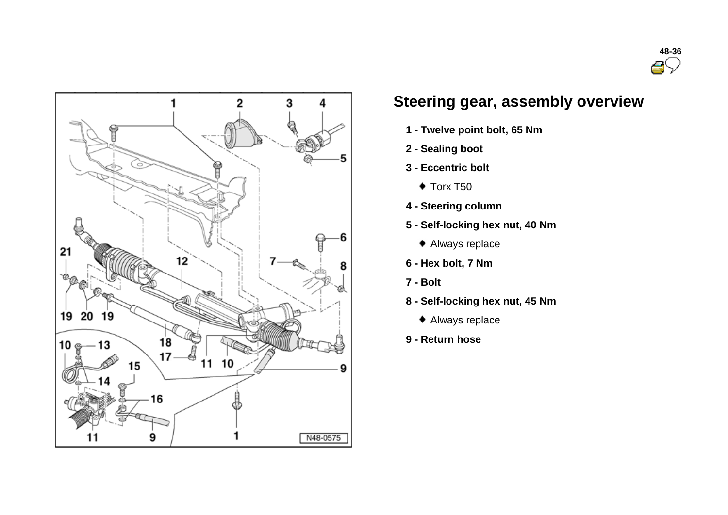

# **Steering gear, assembly overview**

- **1 - Twelve point bolt, 65 Nm**
- **2 - Sealing boot**
- **3 - Eccentric bolt**
	- $\bullet$  Torx T50
- **4 - Steering column**
- **5 - Self-locking hex nut, 40 Nm**
	- Always replace
- **6 - Hex bolt, 7 Nm**
- **7 - Bolt**
- **8 - Self-locking hex nut, 45 Nm**
	- Always replace
- **9 - Return hose**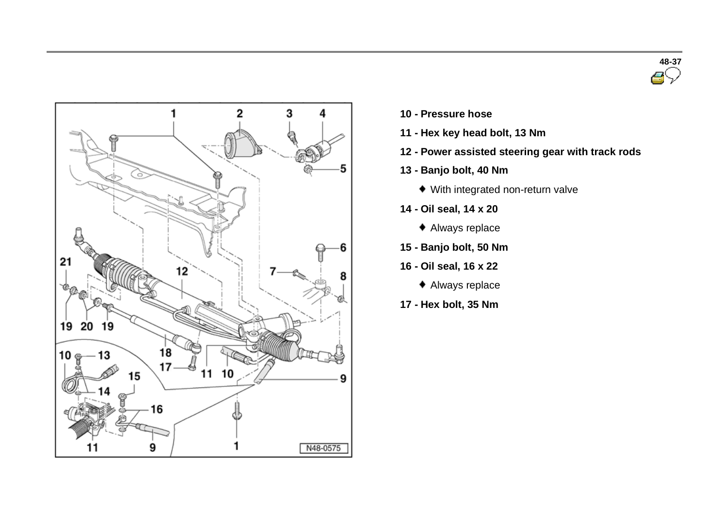



- **10 - Pressure hose**
- **11 - Hex key head bolt, 13 Nm**
- **12 - Power assisted steering gear with track rods**
- **13 - Banjo bolt, 40 Nm**
	- With integrated non-return valve
- **14 - Oil seal, 14 x 20**
	- Always replace
- **15 - Banjo bolt, 50 Nm**
- **16 - Oil seal, 16 x 22**
	- Always replace
- **17 - Hex bolt, 35 Nm**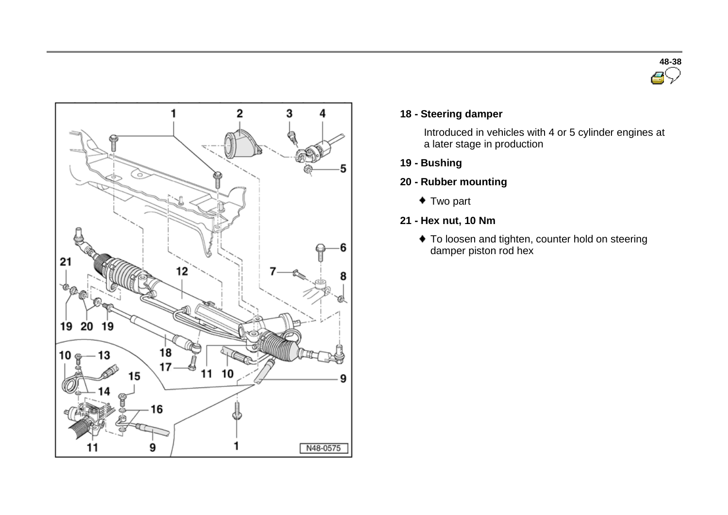



#### **18 - Steering damper**

Introduced in vehicles with 4 or 5 cylinder engines at a later stage in production

- **19 - Bushing**
- **20 - Rubber mounting**
	- Two part
- **21 - Hex nut, 10 Nm**
	- To loosen and tighten, counter hold on steering damper piston rod hex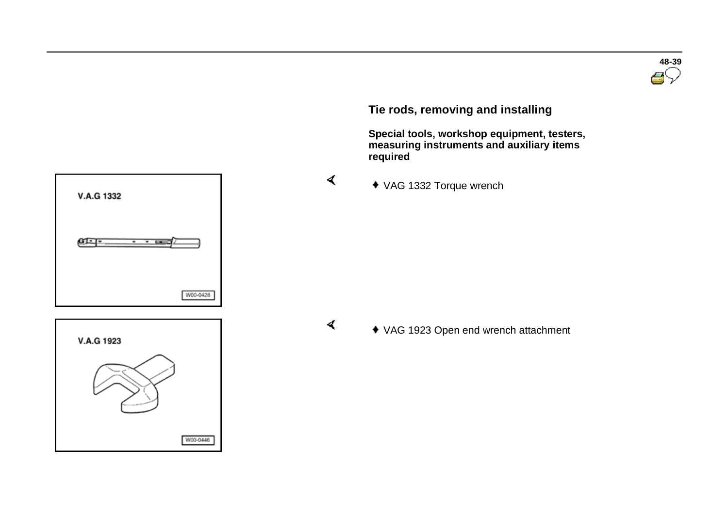**V.A.G 1332** ளு W00-0428



 $\blacktriangleleft$ 

 $\blacktriangleleft$ 

**Tie rods, removing and installing**

 **Special tools, workshop equipment, testers, measuring instruments and auxiliary items required** 

VAG 1332 Torque wrench

VAG 1923 Open end wrench attachment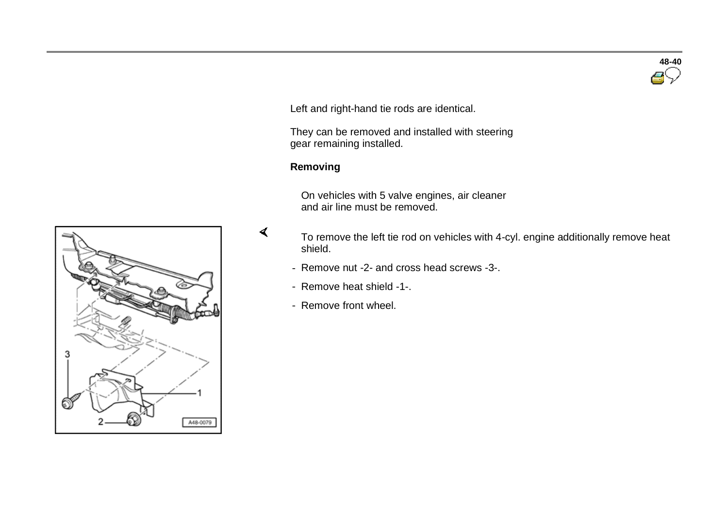

Left and right-hand tie rods are identical.

 They can be removed and installed with steering gear remaining installed.

### **Removing**

 $\blacktriangleleft$ 

 On vehicles with 5 valve engines, air cleaner and air line must be removed.

 To remove the left tie rod on vehicles with 4-cyl. engine additionally remove heat shield.

- Remove nut -2- and cross head screws -3-.
- Remove heat shield -1-.
- Remove front wheel.

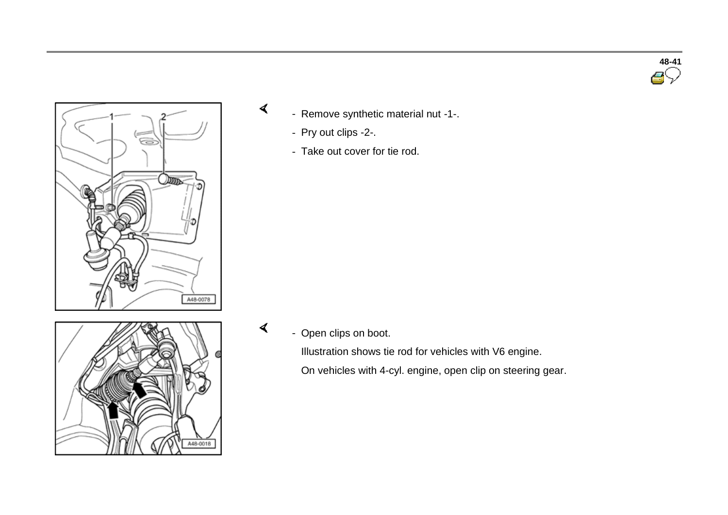

- Remove synthetic material nut -1-.
	- Pry out clips -2-.

 $\prec$ 

 $\prec$ 

- Take out cover for tie rod.



- Open clips on boot.

 Illustration shows tie rod for vehicles with V6 engine. On vehicles with 4-cyl. engine, open clip on steering gear.

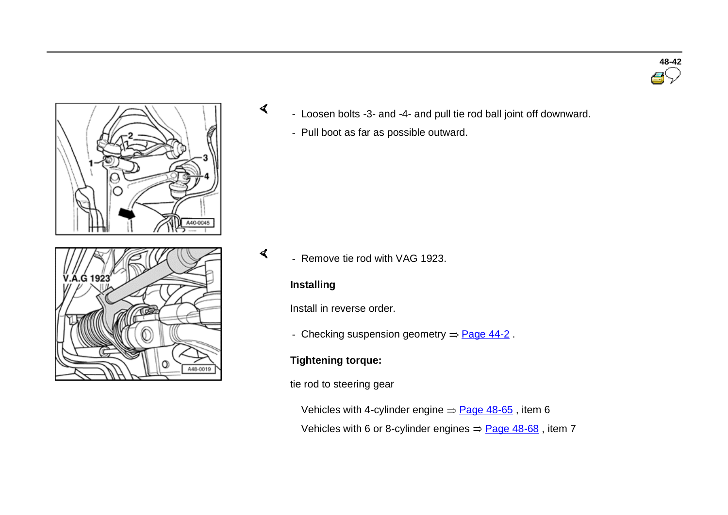





- Loosen bolts -3- and -4- and pull tie rod ball joint off downward.
	- Pull boot as far as possible outward.

 $\blacktriangleleft$ - Remove tie rod with VAG 1923.

### **Installing**

 $\sigma$ 

Install in reverse order.

- Checking suspension geometry  $\Rightarrow$  Page 44-2.

# **Tightening torque:**

tie rod to steering gear

Vehicles with 4-cylinder engine  $\Rightarrow$  Page 48-65, item 6

Vehicles with 6 or 8-cylinder engines  $=$  Page 48-68, item 7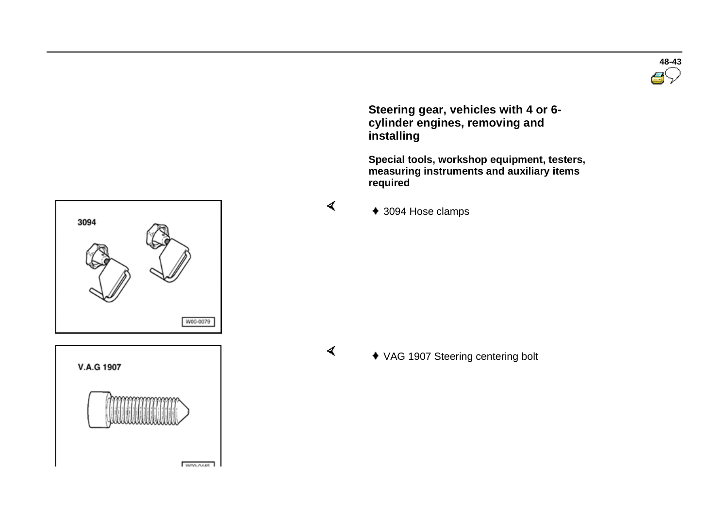

 **Steering gear, vehicles with 4 or 6 cylinder engines, removing and installing**

 **Special tools, workshop equipment, testers, measuring instruments and auxiliary items required** 



3094 W00-0079



 $\blacktriangleleft$ 

 $\blacktriangleleft$ 

VAG 1907 Steering centering bolt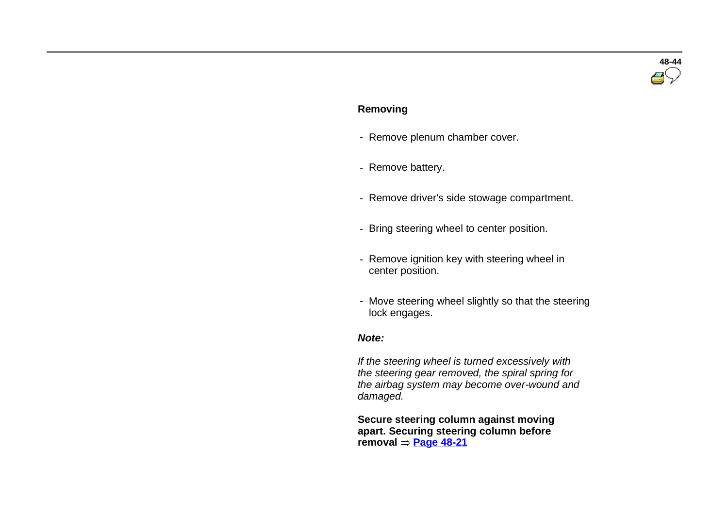# **48-44**

#### **Removing**

- Remove plenum chamber cover.
- Remove battery.
- Remove driver's side stowage compartment.
- Bring steering wheel to center position.
- Remove ignition key with steering wheel in center position.
- Move steering wheel slightly so that the steering lock engages.

#### *Note:*

 *If the steering wheel is turned excessively with the steering gear removed, the spiral spring for the airbag system may become over-wound and damaged.*

 **Secure steering column against moving apart. Securing steering column before**   $r$ emoval  $=$  **Page 48-21**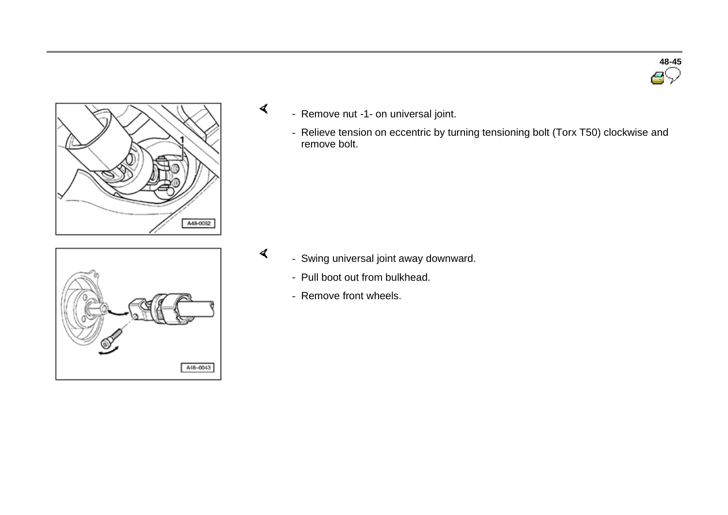

- Remove nut -1- on universal joint.

 $\blacktriangleleft$ 

 $\blacktriangleleft$ 

- Relieve tension on eccentric by turning tensioning bolt (Torx T50) clockwise and remove bolt.



- Swing universal joint away downward.
	- Pull boot out from bulkhead.
	- Remove front wheels.

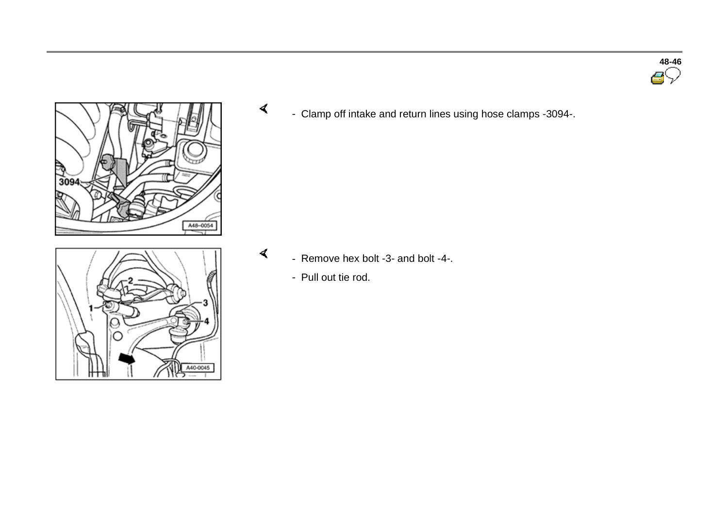



A40-0045 ٣5

 $\prec$ - Clamp off intake and return lines using hose clamps -3094-.

- $\blacktriangleleft$  - Remove hex bolt -3- and bolt -4-.
	- Pull out tie rod.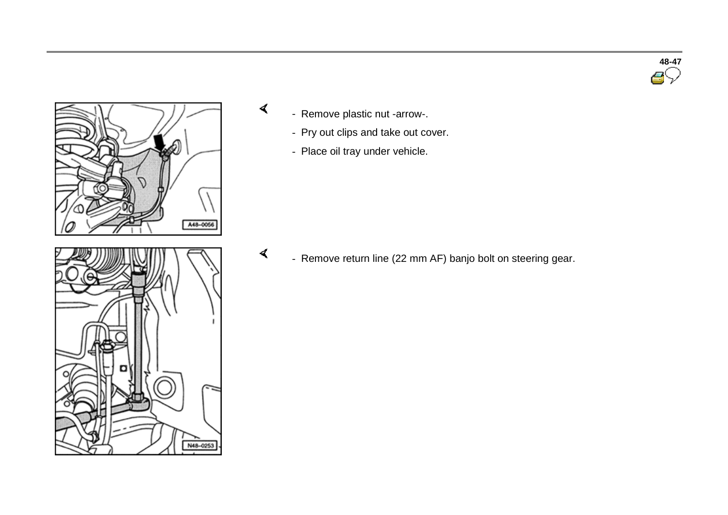



- Remove plastic nut -arrow-.

 $\prec$ 

 $\blacktriangleleft$ 

- Pry out clips and take out cover.
- Place oil tray under vehicle.

- Remove return line (22 mm AF) banjo bolt on steering gear.

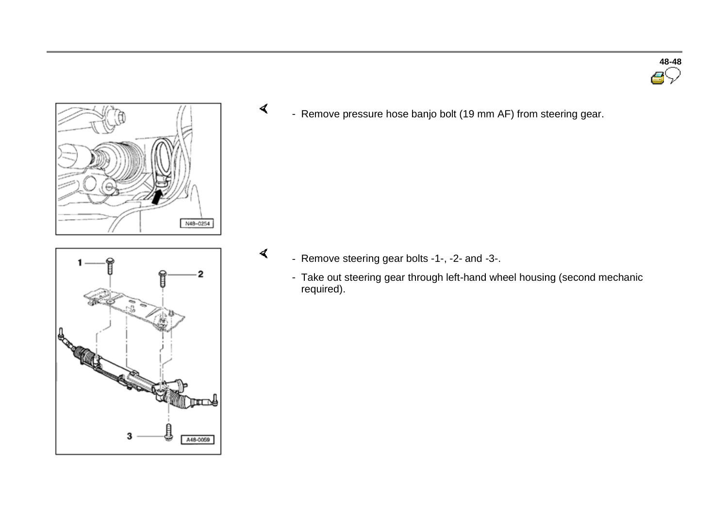



 $\overline{2}$ S. 3 A48-0059  $\prec$ - Remove pressure hose banjo bolt (19 mm AF) from steering gear.

- Remove steering gear bolts -1-, -2- and -3-.

 $\blacktriangleleft$ 

- Take out steering gear through left-hand wheel housing (second mechanic required).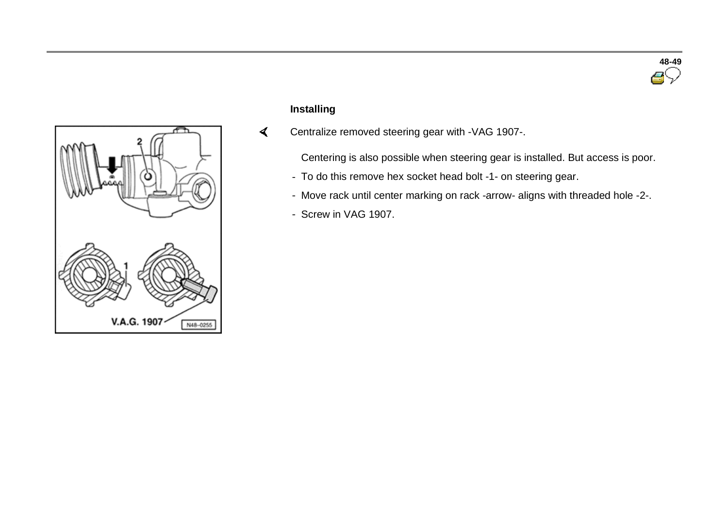



# **Installing**

 Centralize removed steering gear with -VAG 1907-.  $\prec$ 

Centering is also possible when steering gear is installed. But access is poor.

- To do this remove hex socket head bolt -1- on steering gear.
- Move rack until center marking on rack -arrow- aligns with threaded hole -2-.
- Screw in VAG 1907.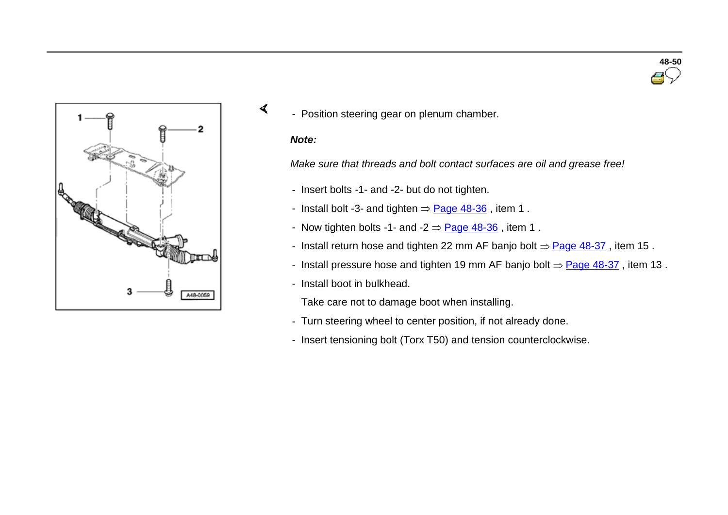

- Position steering gear on plenum chamber.

#### *Note:*

 $\sigma$ 

*Make sure that threads and bolt contact surfaces are oil and grease free!*

- Insert bolts -1- and -2- but do not tighten.
- Install bolt -3- and tighten  $=$  Page 48-36, item 1.
- Now tighten bolts -1- and -2  $\Rightarrow$  Page 48-36, item 1.
- Install return hose and tighten 22 mm AF banjo bolt  $=$  Page 48-37, item 15.
- Install pressure hose and tighten 19 mm AF banjo bolt  $\Rightarrow$  Page 48-37, item 13.
- Install boot in bulkhead.

Take care not to damage boot when installing.

- Turn steering wheel to center position, if not already done.
- Insert tensioning bolt (Torx T50) and tension counterclockwise.

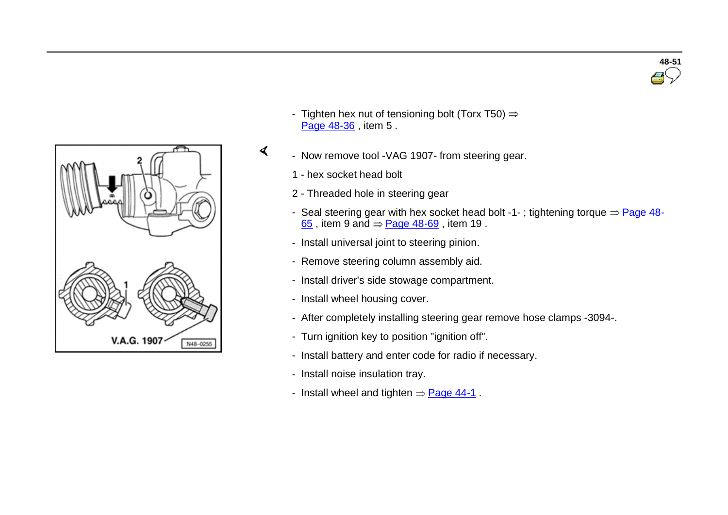

- Tighten hex nut of tensioning bolt (Torx T50)  $\Rightarrow$ Page 48-36 , item 5 .
- Now remove tool -VAG 1907- from steering gear.
	- 1 hex socket head bolt

 $\blacktriangleleft$ 

- 2 Threaded hole in steering gear
- Seal steering gear with hex socket head bolt -1-; tightening torque  $\Rightarrow$  Page 48- $65$ , item 9 and  $=$  Page 48-69, item 19.
- Install universal joint to steering pinion.
- Remove steering column assembly aid.
- Install driver's side stowage compartment.
- Install wheel housing cover.
- After completely installing steering gear remove hose clamps -3094-.
- Turn ignition key to position "ignition off".
- Install battery and enter code for radio if necessary.
- Install noise insulation tray.
- Install wheel and tighten  $=$  Page 44-1.

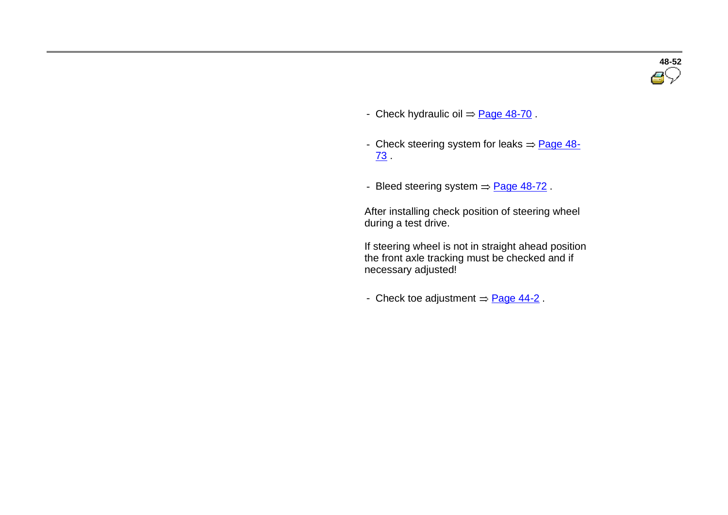

- Check hydraulic oil  $=$  Page 48-70 .
- Check steering system for leaks  $=$  Page 48-73 .
- Bleed steering system  $=$  Page 48-72.

 After installing check position of steering wheel during a test drive.

If steering wheel is not in straight ahead position the front axle tracking must be checked and if necessary adjusted!

- Check toe adjustment  $=$  Page 44-2.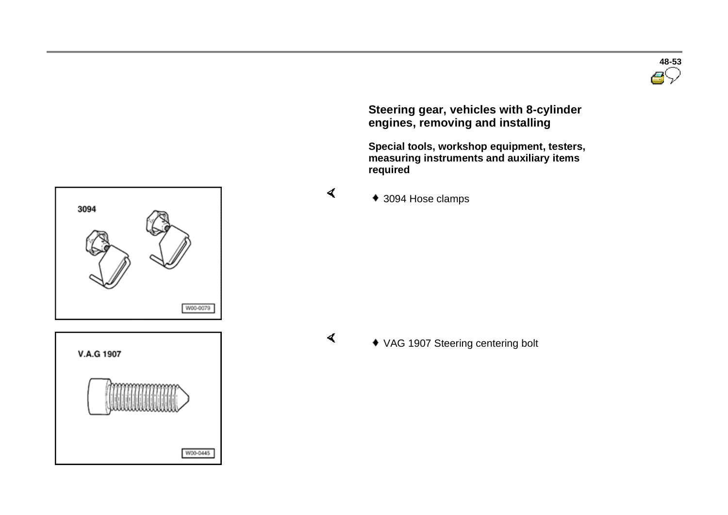

 **Steering gear, vehicles with 8-cylinder engines, removing and installing**

 **Special tools, workshop equipment, testers, measuring instruments and auxiliary items required** 



 $\blacktriangleleft$ 

 $\blacktriangleleft$ 

◆ 3094 Hose clamps



3094

VAG 1907 Steering centering bolt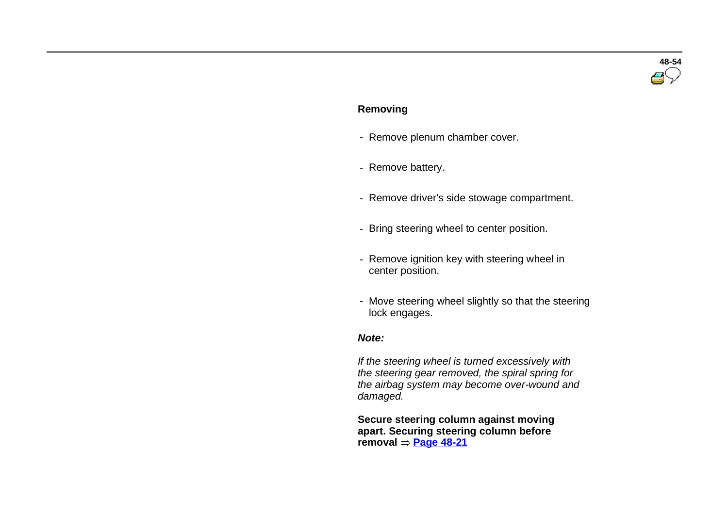# **48-54**

#### **Removing**

- Remove plenum chamber cover.
- Remove battery.
- Remove driver's side stowage compartment.
- Bring steering wheel to center position.
- Remove ignition key with steering wheel in center position.
- Move steering wheel slightly so that the steering lock engages.

#### *Note:*

 *If the steering wheel is turned excessively with the steering gear removed, the spiral spring for the airbag system may become over-wound and damaged.*

 **Secure steering column against moving apart. Securing steering column before**   $r$ emoval  $=$  **Page 48-21**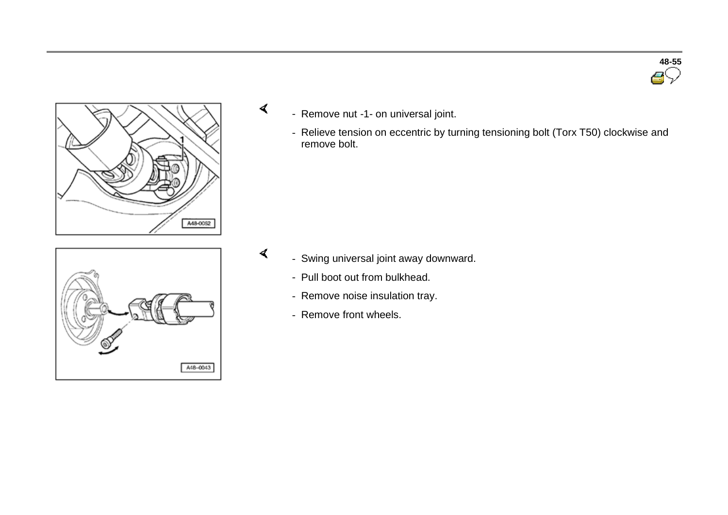

- Remove nut -1- on universal joint.

 $\blacktriangleleft$ 

 $\blacktriangleleft$ 

- Relieve tension on eccentric by turning tensioning bolt (Torx T50) clockwise and remove bolt.



- Swing universal joint away downward.
	- Pull boot out from bulkhead.
	- Remove noise insulation tray.
	- Remove front wheels.

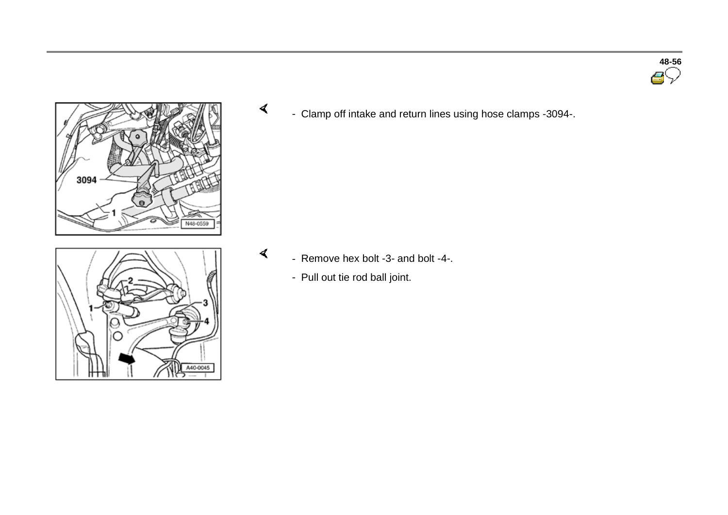





 $\prec$ - Clamp off intake and return lines using hose clamps -3094-.

- $\blacktriangleleft$  - Remove hex bolt -3- and bolt -4-.
	- Pull out tie rod ball joint.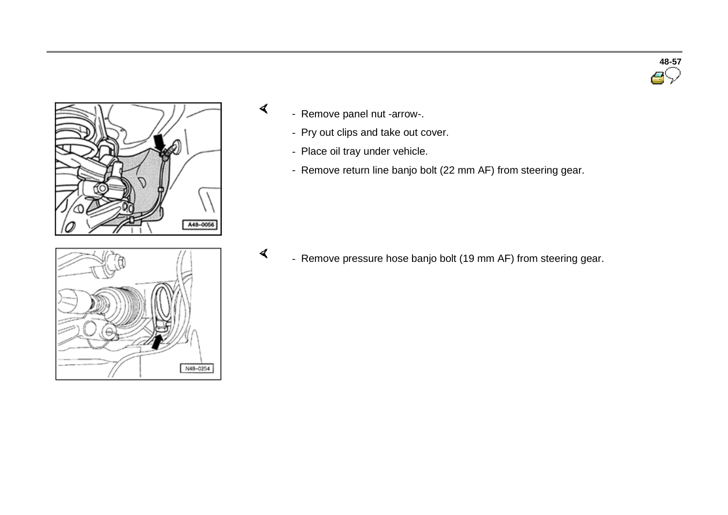



- Remove panel nut -arrow-.

 $\sigma$ 

- Pry out clips and take out cover.
- Place oil tray under vehicle.
- Remove return line banjo bolt (22 mm AF) from steering gear.



 $\blacktriangleleft$ - Remove pressure hose banjo bolt (19 mm AF) from steering gear.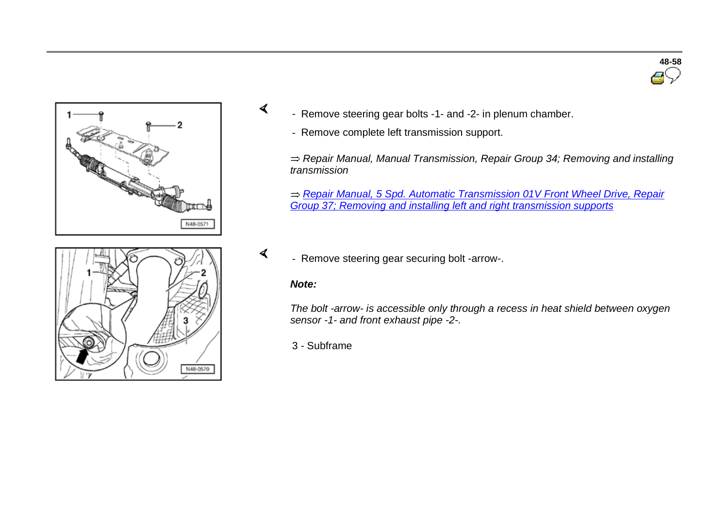



- Remove steering gear bolts -1- and -2- in plenum chamber.

- Remove complete left transmission support.

*Repair Manual, Manual Transmission, Repair Group 34; Removing and installing transmission*

*Repair Manual, 5 Spd. Automatic Transmission 01V Front Wheel Drive, Repair Group 37; Removing and installing left and right transmission supports*



- Remove steering gear securing bolt -arrow-.

#### *Note:*

 $\sigma$ 

 $\blacktriangleleft$ 

*The bolt -arrow- is accessible only through a recess in heat shield between oxygen sensor -1- and front exhaust pipe -2-.*

3 - Subframe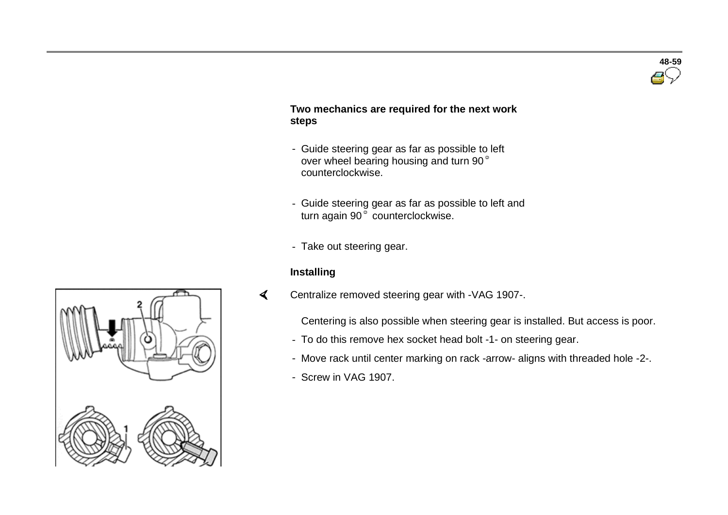

#### **Two mechanics are required for the next work steps**

- Guide steering gear as far as possible to left over wheel bearing housing and turn 90° counterclockwise.
- Guide steering gear as far as possible to left and turn again 90 $\degree$  counterclockwise.
- Take out steering gear.

#### **Installing**

 $\blacktriangleleft$ Centralize removed steering gear with -VAG 1907-.

Centering is also possible when steering gear is installed. But access is poor.

- To do this remove hex socket head bolt -1- on steering gear.
- Move rack until center marking on rack -arrow- aligns with threaded hole -2-.
- Screw in VAG 1907.

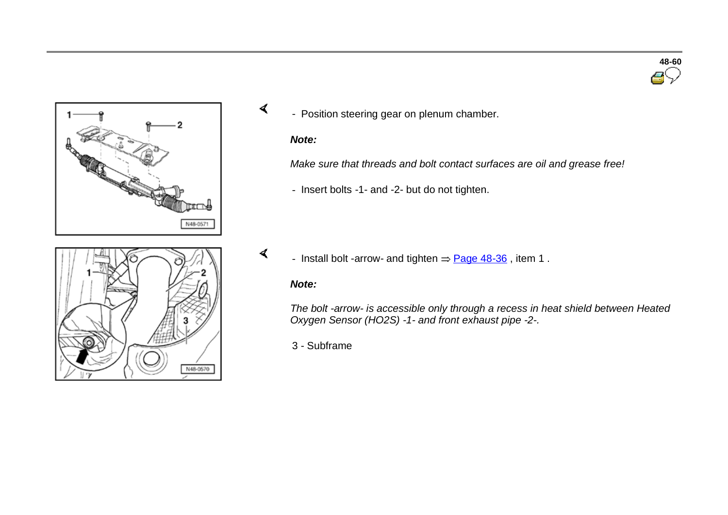



**48-60**

- Position steering gear on plenum chamber.

#### *Note:*

 $\sigma$ 

*Make sure that threads and bolt contact surfaces are oil and grease free!*

- Insert bolts -1- and -2- but do not tighten.



 $\blacktriangleleft$ - Install bolt -arrow- and tighten  $\Rightarrow$  Page 48-36, item 1.

#### *Note:*

*The bolt -arrow- is accessible only through a recess in heat shield between Heated Oxygen Sensor (HO2S) -1- and front exhaust pipe -2-.*

3 - Subframe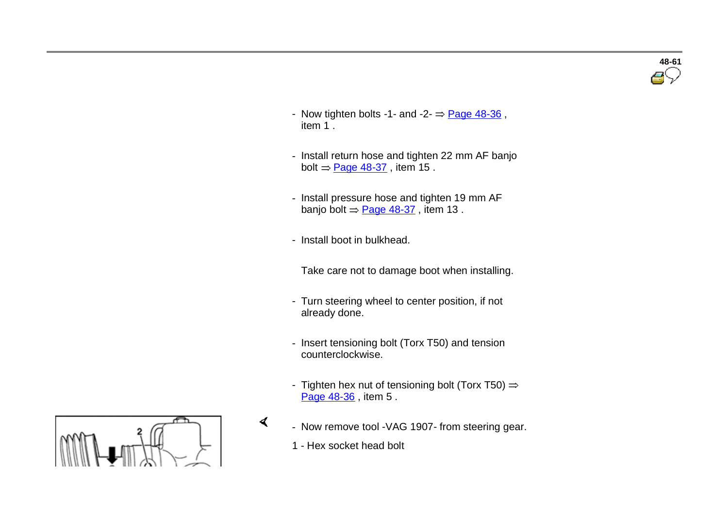

- Now tighten bolts -1- and -2- $=$  Page 48-36, item 1 .
- Install return hose and tighten 22 mm AF banjo bolt  $=$  Page 48-37, item 15.
- Install pressure hose and tighten 19 mm AF banjo bolt  $=$  Page 48-37, item 13.
- Install boot in bulkhead.
	- Take care not to damage boot when installing.
- Turn steering wheel to center position, if not already done.
- Insert tensioning bolt (Torx T50) and tension counterclockwise.
- Tighten hex nut of tensioning bolt (Torx T50)  $\Rightarrow$ Page 48-36, item 5.
- Now remove tool -VAG 1907- from steering gear.
	- 1 Hex socket head bolt

 $\blacktriangleleft$ 

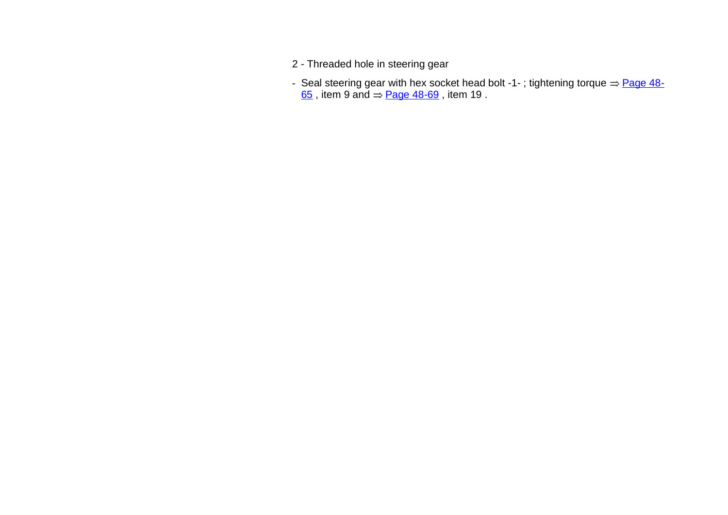- 2 Threaded hole in steering gear
- Seal steering gear with hex socket head bolt -1-; tightening torque  $\Rightarrow$  Page 48- $\underline{65}$  , item 9 and  $\Rightarrow$  Page 48-69 , item 19 .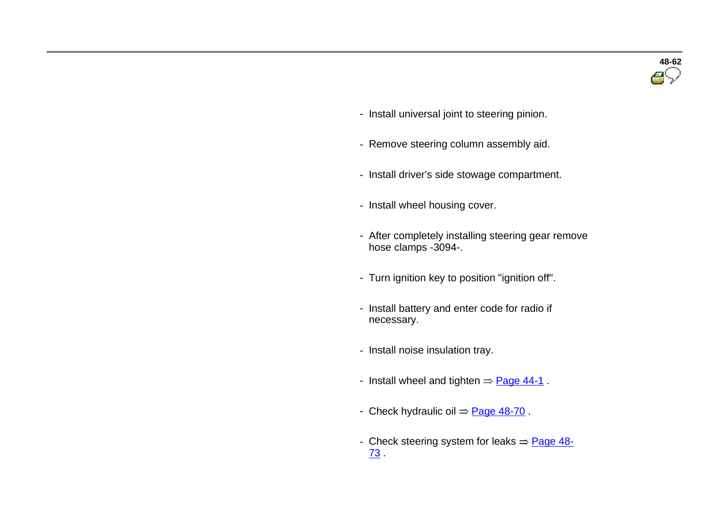- Install universal joint to steering pinion.
- Remove steering column assembly aid.
- Install driver's side stowage compartment.
- Install wheel housing cover.
- After completely installing steering gear remove hose clamps -3094-.
- Turn ignition key to position "ignition off".
- Install battery and enter code for radio if necessary.
- Install noise insulation tray.
- Install wheel and tighten  $=$  Page 44-1.
- Check hydraulic oil  $=$  Page 48-70.
- Check steering system for leaks  $=$  Page 48-73 .